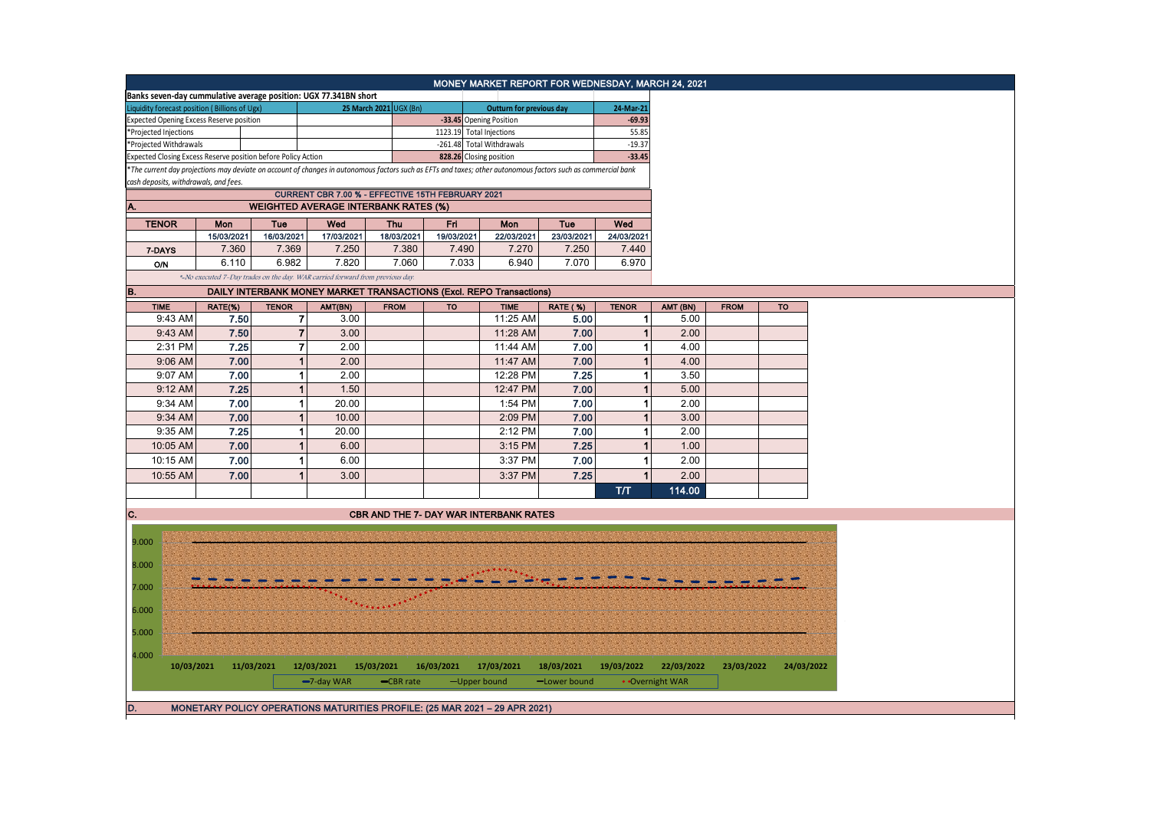| MONEY MARKET REPORT FOR WEDNESDAY, MARCH 24, 2021                                                |            |                     |                     |                                                                               |                        |                          |                                                                                                                                                               |                     |                          |                 |             |            |
|--------------------------------------------------------------------------------------------------|------------|---------------------|---------------------|-------------------------------------------------------------------------------|------------------------|--------------------------|---------------------------------------------------------------------------------------------------------------------------------------------------------------|---------------------|--------------------------|-----------------|-------------|------------|
| Banks seven-day cummulative average position: UGX 77.341BN short                                 |            |                     |                     |                                                                               |                        |                          |                                                                                                                                                               |                     |                          |                 |             |            |
| Liquidity forecast position (Billions of Ugx)                                                    |            |                     |                     |                                                                               | 25 March 2021 UGX (Bn) |                          | Outturn for previous day                                                                                                                                      |                     | 24-Mar-21                |                 |             |            |
| <b>Expected Opening Excess Reserve position</b>                                                  |            |                     |                     |                                                                               |                        |                          | -33.45 Opening Position                                                                                                                                       |                     | $-69.93$                 |                 |             |            |
| *Projected Injections                                                                            |            |                     |                     |                                                                               |                        | 1123.19 Total Injections |                                                                                                                                                               | 55.85               |                          |                 |             |            |
| *Projected Withdrawals                                                                           |            |                     |                     |                                                                               |                        |                          | -261.48 Total Withdrawals                                                                                                                                     |                     | $-19.37$                 |                 |             |            |
| Expected Closing Excess Reserve position before Policy Action                                    |            |                     |                     |                                                                               |                        |                          | 828.26 Closing position                                                                                                                                       |                     | $-33.45$                 |                 |             |            |
|                                                                                                  |            |                     |                     |                                                                               |                        |                          | *The current day projections may deviate on account of changes in autonomous factors such as EFTs and taxes; other autonomous factors such as commercial bank |                     |                          |                 |             |            |
| cash deposits, withdrawals, and fees.                                                            |            |                     |                     |                                                                               |                        |                          |                                                                                                                                                               |                     |                          |                 |             |            |
| CURRENT CBR 7.00 % - EFFECTIVE 15TH FEBRUARY 2021<br><b>WEIGHTED AVERAGE INTERBANK RATES (%)</b> |            |                     |                     |                                                                               |                        |                          |                                                                                                                                                               |                     |                          |                 |             |            |
| Α.                                                                                               |            |                     |                     |                                                                               |                        |                          |                                                                                                                                                               |                     |                          |                 |             |            |
| <b>TENOR</b>                                                                                     |            | Mon                 | Tue                 | Wed                                                                           | Thu                    | Fri                      | Mon                                                                                                                                                           | Tue                 | Wed                      |                 |             |            |
|                                                                                                  |            | 15/03/2021<br>7.360 | 16/03/2021<br>7.369 | 17/03/2021<br>7.250                                                           | 18/03/2021<br>7.380    | 19/03/2021<br>7.490      | 22/03/2021<br>7.270                                                                                                                                           | 23/03/2021<br>7.250 | 24/03/2021<br>7.440      |                 |             |            |
| 7-DAYS                                                                                           |            |                     |                     |                                                                               |                        |                          |                                                                                                                                                               |                     |                          |                 |             |            |
| O/N                                                                                              |            | 6.110               | 6.982               | 7.820                                                                         | 7.060                  | 7.033                    | 6.940                                                                                                                                                         | 7.070               | 6.970                    |                 |             |            |
|                                                                                                  |            |                     |                     | *-No executed 7-Day trades on the day. WAR carried forward from previous day. |                        |                          |                                                                                                                                                               |                     |                          |                 |             |            |
| в.                                                                                               |            |                     |                     |                                                                               |                        |                          | DAILY INTERBANK MONEY MARKET TRANSACTIONS (Excl. REPO Transactions)                                                                                           |                     |                          |                 |             |            |
| <b>TIME</b>                                                                                      |            | RATE(%)             | <b>TENOR</b>        | AMT(BN)                                                                       | <b>FROM</b>            | <b>TO</b>                | <b>TIME</b>                                                                                                                                                   | <b>RATE (%)</b>     | <b>TENOR</b>             | AMT (BN)        | <b>FROM</b> | <b>TO</b>  |
| 9:43 AM                                                                                          |            | 7.50                |                     | 7<br>3.00                                                                     |                        |                          | 11:25 AM                                                                                                                                                      | 5.00                | -1                       | 5.00            |             |            |
| 9:43 AM                                                                                          |            | 7.50                |                     | $\overline{7}$<br>3.00                                                        |                        |                          | 11:28 AM                                                                                                                                                      | 7.00                | $\overline{1}$           | 2.00            |             |            |
| 2:31 PM                                                                                          |            | 7.25                |                     | 7<br>2.00                                                                     |                        |                          | 11:44 AM                                                                                                                                                      | 7.00                | 1                        | 4.00            |             |            |
| 9:06 AM                                                                                          |            | 7.00                |                     | $\overline{1}$<br>2.00                                                        |                        |                          | 11:47 AM                                                                                                                                                      | 7.00                | $\overline{\phantom{a}}$ | 4.00            |             |            |
| 9:07 AM                                                                                          |            | 7.00                |                     | 1<br>2.00                                                                     |                        |                          | 12:28 PM                                                                                                                                                      | 7.25                | 1                        | 3.50            |             |            |
| 9:12 AM                                                                                          |            | 7.25                |                     | $\mathbf{1}$<br>1.50                                                          |                        |                          | 12:47 PM                                                                                                                                                      | 7.00                | 1                        | 5.00            |             |            |
| 9:34 AM                                                                                          |            | 7.00                |                     | $\mathbf{1}$<br>20.00                                                         |                        |                          | 1:54 PM                                                                                                                                                       | 7.00                | 1                        | 2.00            |             |            |
| 9:34 AM                                                                                          |            | 7.00                |                     | $\mathbf{1}$<br>10.00                                                         |                        |                          | 2:09 PM                                                                                                                                                       | 7.00                | 1                        | 3.00            |             |            |
| 9:35 AM                                                                                          |            | 7.25                |                     | $\mathbf{1}$<br>20.00                                                         |                        |                          | 2:12 PM                                                                                                                                                       | 7.00                | 1                        | 2.00            |             |            |
| 10:05 AM                                                                                         |            | 7.00                |                     | $\overline{1}$<br>6.00                                                        |                        |                          | 3:15 PM                                                                                                                                                       | 7.25                | 1                        | 1.00            |             |            |
| 10:15 AM                                                                                         |            | 7.00                |                     | 1<br>6.00                                                                     |                        |                          | 3:37 PM                                                                                                                                                       | 7.00                | 1                        | 2.00            |             |            |
| 10:55 AM                                                                                         |            | 7.00                |                     | $\overline{1}$<br>3.00                                                        |                        |                          | 3:37 PM                                                                                                                                                       | 7.25                | 1                        | 2.00            |             |            |
|                                                                                                  |            |                     |                     |                                                                               |                        |                          |                                                                                                                                                               |                     | <b>T/T</b>               | 114.00          |             |            |
|                                                                                                  |            |                     |                     |                                                                               |                        |                          |                                                                                                                                                               |                     |                          |                 |             |            |
| С.                                                                                               |            |                     |                     |                                                                               |                        |                          | <b>CBR AND THE 7- DAY WAR INTERBANK RATES</b>                                                                                                                 |                     |                          |                 |             |            |
|                                                                                                  |            |                     |                     |                                                                               |                        |                          |                                                                                                                                                               |                     |                          |                 |             |            |
| 9.000                                                                                            |            |                     |                     |                                                                               |                        |                          |                                                                                                                                                               |                     |                          |                 |             |            |
|                                                                                                  |            |                     |                     |                                                                               |                        |                          |                                                                                                                                                               |                     |                          |                 |             |            |
| 8.000                                                                                            |            |                     |                     |                                                                               |                        |                          |                                                                                                                                                               |                     |                          |                 |             |            |
| 7.000                                                                                            |            |                     |                     |                                                                               |                        |                          |                                                                                                                                                               |                     |                          |                 |             |            |
|                                                                                                  |            |                     |                     |                                                                               | $\dddotsc$             |                          |                                                                                                                                                               |                     |                          |                 |             |            |
| 6.000                                                                                            |            |                     |                     |                                                                               |                        |                          |                                                                                                                                                               |                     |                          |                 |             |            |
|                                                                                                  |            |                     |                     |                                                                               |                        |                          |                                                                                                                                                               |                     |                          |                 |             |            |
| 5.000                                                                                            |            |                     |                     |                                                                               |                        |                          |                                                                                                                                                               |                     |                          |                 |             |            |
| 4.000                                                                                            |            |                     |                     |                                                                               |                        |                          |                                                                                                                                                               |                     |                          |                 |             |            |
|                                                                                                  | 10/03/2021 | 11/03/2021          |                     | 12/03/2021                                                                    | 15/03/2021             | 16/03/2021               | 17/03/2021                                                                                                                                                    | 18/03/2021          | 19/03/2022               | 22/03/2022      | 23/03/2022  | 24/03/2022 |
|                                                                                                  |            |                     |                     | -7-day WAR                                                                    | -CBR rate              |                          | -Upper bound                                                                                                                                                  | -Lower bound        |                          | • Overnight WAR |             |            |
|                                                                                                  |            |                     |                     |                                                                               |                        |                          |                                                                                                                                                               |                     |                          |                 |             |            |
| D.                                                                                               |            |                     |                     |                                                                               |                        |                          | MONETARY POLICY OPERATIONS MATURITIES PROFILE: (25 MAR 2021 - 29 APR 2021)                                                                                    |                     |                          |                 |             |            |